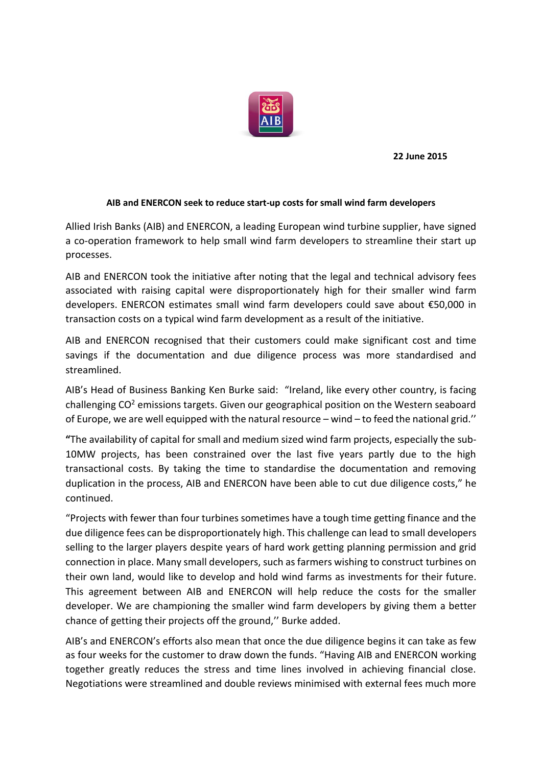

**22 June 2015**

## **AIB and ENERCON seek to reduce start-up costs for small wind farm developers**

Allied Irish Banks (AIB) and ENERCON, a leading European wind turbine supplier, have signed a co-operation framework to help small wind farm developers to streamline their start up processes.

AIB and ENERCON took the initiative after noting that the legal and technical advisory fees associated with raising capital were disproportionately high for their smaller wind farm developers. ENERCON estimates small wind farm developers could save about €50,000 in transaction costs on a typical wind farm development as a result of the initiative.

AIB and ENERCON recognised that their customers could make significant cost and time savings if the documentation and due diligence process was more standardised and streamlined.

AIB's Head of Business Banking Ken Burke said: "Ireland, like every other country, is facing challenging  $CO<sup>2</sup>$  emissions targets. Given our geographical position on the Western seaboard of Europe, we are well equipped with the natural resource – wind – to feed the national grid.''

**"**The availability of capital for small and medium sized wind farm projects, especially the sub-10MW projects, has been constrained over the last five years partly due to the high transactional costs. By taking the time to standardise the documentation and removing duplication in the process, AIB and ENERCON have been able to cut due diligence costs," he continued.

"Projects with fewer than four turbines sometimes have a tough time getting finance and the due diligence fees can be disproportionately high. This challenge can lead to small developers selling to the larger players despite years of hard work getting planning permission and grid connection in place. Many small developers, such as farmers wishing to construct turbines on their own land, would like to develop and hold wind farms as investments for their future. This agreement between AIB and ENERCON will help reduce the costs for the smaller developer. We are championing the smaller wind farm developers by giving them a better chance of getting their projects off the ground,'' Burke added.

AIB's and ENERCON's efforts also mean that once the due diligence begins it can take as few as four weeks for the customer to draw down the funds. "Having AIB and ENERCON working together greatly reduces the stress and time lines involved in achieving financial close. Negotiations were streamlined and double reviews minimised with external fees much more